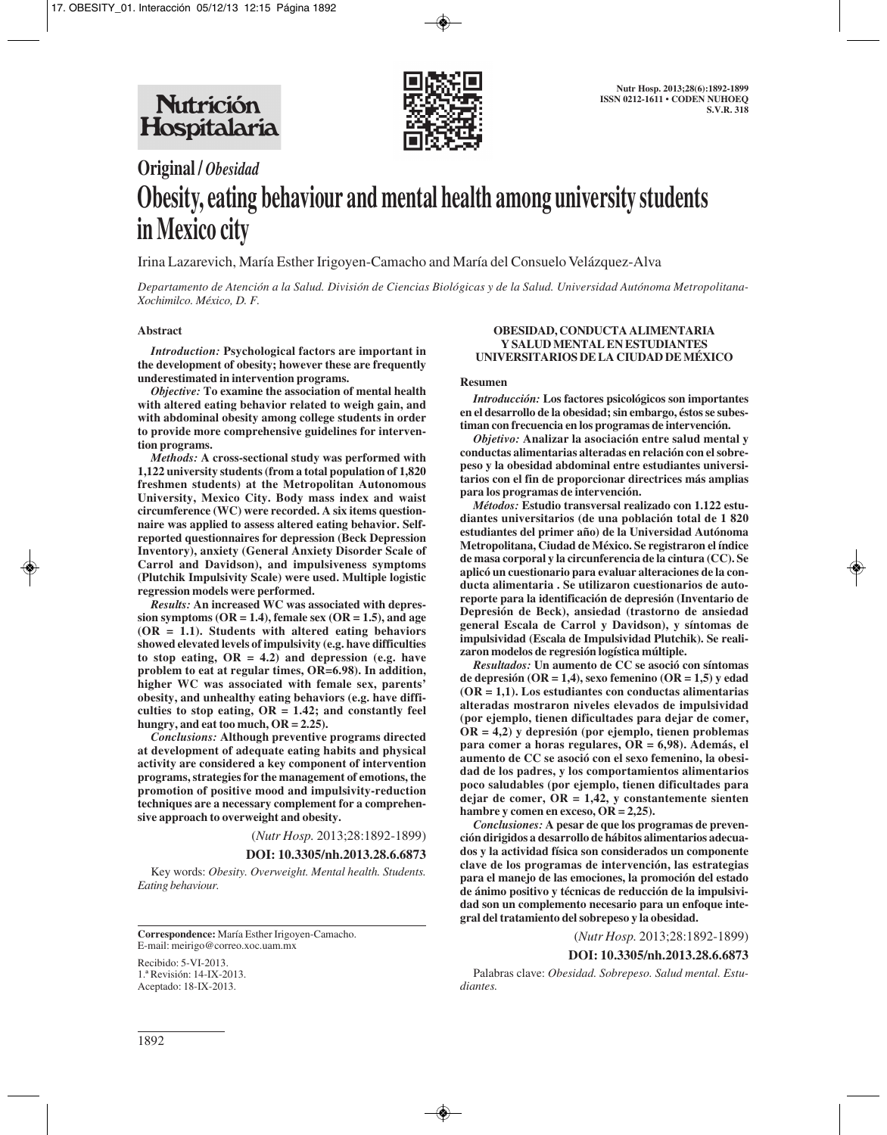

# **Original /** *Obesidad* **Obesity, eating behaviour and mental health among university students in Mexico city**

Irina Lazarevich, María Esther Irigoyen-Camacho and María del Consuelo Velázquez-Alva

*Departamento de Atención a la Salud. División de Ciencias Biológicas y de la Salud. Universidad Autónoma Metropolitana-Xochimilco. México, D. F.*

## **Abstract**

*Introduction:* **Psychological factors are important in the development of obesity; however these are frequently underestimated in intervention programs.**

*Objective:* **To examine the association of mental health with altered eating behavior related to weigh gain, and with abdominal obesity among college students in order to provide more comprehensive guidelines for intervention programs.**

*Methods:* **A cross-sectional study was performed with 1,122 university students (from a total population of 1,820 freshmen students) at the Metropolitan Autonomous University, Mexico City. Body mass index and waist circumference (WC) were recorded. A six items questionnaire was applied to assess altered eating behavior. Selfreported questionnaires for depression (Beck Depression Inventory), anxiety (General Anxiety Disorder Scale of Carrol and Davidson), and impulsiveness symptoms (Plutchik Impulsivity Scale) were used. Multiple logistic regression models were performed.**

*Results:* **An increased WC was associated with depres** $sion$  symptoms ( $OR = 1.4$ ), female sex ( $OR = 1.5$ ), and age **(OR = 1.1). Students with altered eating behaviors showed elevated levels of impulsivity (e.g. have difficulties to stop eating, OR = 4.2) and depression (e.g. have problem to eat at regular times, OR=6.98). In addition, higher WC was associated with female sex, parents' obesity, and unhealthy eating behaviors (e.g. have difficulties to stop eating, OR = 1.42; and constantly feel hungry, and eat too much, OR = 2.25).**

*Conclusions:* **Although preventive programs directed at development of adequate eating habits and physical activity are considered a key component of intervention programs, strategies for the management of emotions, the promotion of positive mood and impulsivity-reduction techniques are a necessary complement for a comprehensive approach to overweight and obesity.**

(*Nutr Hosp.* 2013;28:1892-1899)

#### **DOI: 10.3305/nh.2013.28.6.6873**

Key words: *Obesity. Overweight. Mental health. Students. Eating behaviour.*

**Correspondence:** María Esther Irigoyen-Camacho. E-mail: meirigo@correo.xoc.uam.mx

Recibido: 5-VI-2013. 1.ª Revisión: 14-IX-2013. Aceptado: 18-IX-2013.

#### **OBESIDAD, CONDUCTA ALIMENTARIA Y SALUD MENTAL EN ESTUDIANTES UNIVERSITARIOS DE LA CIUDAD DE MÉXICO**

#### **Resumen**

*Introducción:* **Los factores psicológicos son importantes en el desarrollo de la obesidad; sin embargo, éstos se subestiman con frecuencia en los programas de intervención.**

*Objetivo:* **Analizar la asociación entre salud mental y conductas alimentarias alteradas en relación con el sobrepeso y la obesidad abdominal entre estudiantes universitarios con el fin de proporcionar directrices más amplias para los programas de intervención.**

*Métodos:* **Estudio transversal realizado con 1.122 estudiantes universitarios (de una población total de 1 820 estudiantes del primer año) de la Universidad Autónoma Metropolitana, Ciudad de México. Se registraron el índice de masa corporal y la circunferencia de la cintura (CC). Se aplicó un cuestionario para evaluar alteraciones de la conducta alimentaria . Se utilizaron cuestionarios de autoreporte para la identificación de depresión (Inventario de Depresión de Beck), ansiedad (trastorno de ansiedad general Escala de Carrol y Davidson), y síntomas de impulsividad (Escala de Impulsividad Plutchik). Se realizaron modelos de regresión logística múltiple.**

*Resultados:* **Un aumento de CC se asoció con síntomas de depresión (OR = 1,4), sexo femenino (OR = 1,5) y edad (OR = 1,1). Los estudiantes con conductas alimentarias alteradas mostraron niveles elevados de impulsividad (por ejemplo, tienen dificultades para dejar de comer, OR = 4,2) y depresión (por ejemplo, tienen problemas para comer a horas regulares, OR = 6,98). Además, el aumento de CC se asoció con el sexo femenino, la obesidad de los padres, y los comportamientos alimentarios poco saludables (por ejemplo, tienen dificultades para dejar de comer, OR = 1,42, y constantemente sienten hambre y comen en exceso, OR = 2,25).**

*Conclusiones:* **A pesar de que los programas de prevención dirigidos a desarrollo de hábitos alimentarios adecuados y la actividad física son considerados un componente clave de los programas de intervención, las estrategias para el manejo de las emociones, la promoción del estado de ánimo positivo y técnicas de reducción de la impulsividad son un complemento necesario para un enfoque integral del tratamiento del sobrepeso y la obesidad.**

(*Nutr Hosp.* 2013;28:1892-1899)

#### **DOI: 10.3305/nh.2013.28.6.6873**

Palabras clave: *Obesidad. Sobrepeso. Salud mental. Estudiantes.*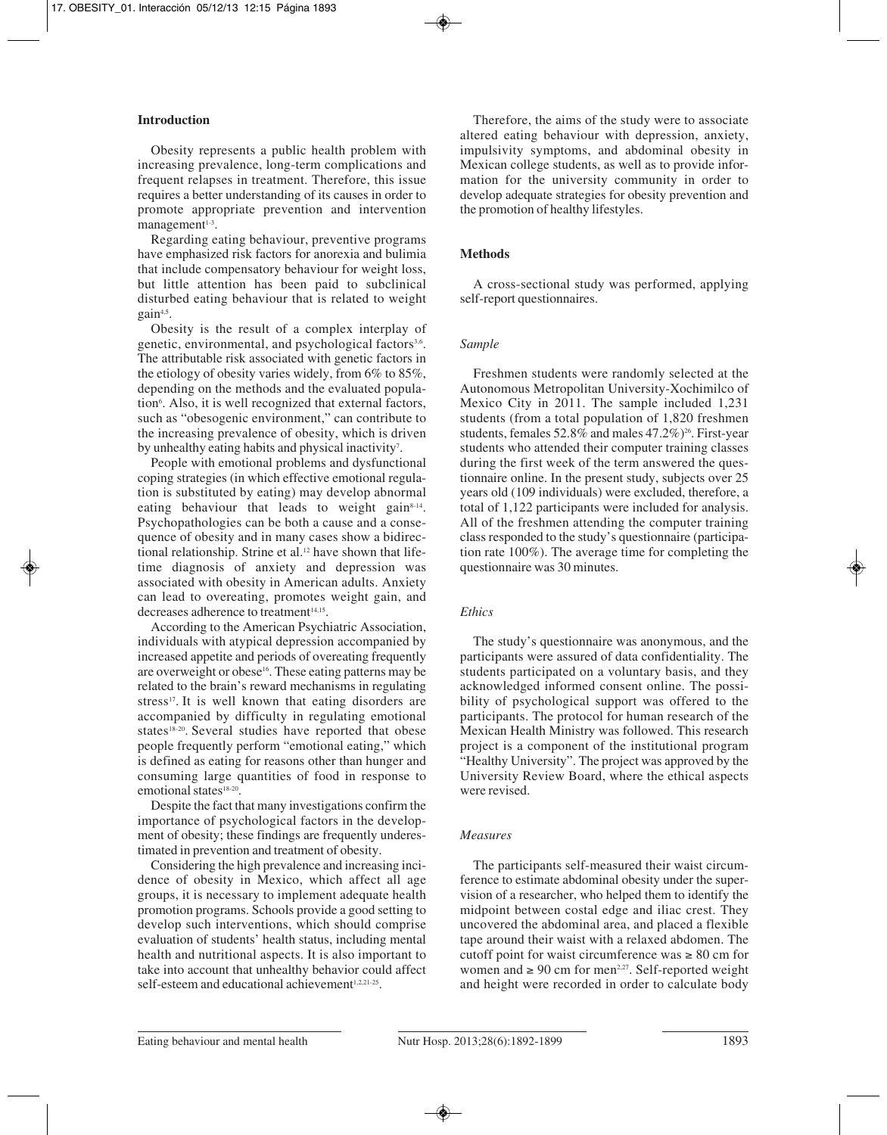# **Introduction**

Obesity represents a public health problem with increasing prevalence, long-term complications and frequent relapses in treatment. Therefore, this issue requires a better understanding of its causes in order to promote appropriate prevention and intervention  $m$ anagement $1-3$ .

Regarding eating behaviour, preventive programs have emphasized risk factors for anorexia and bulimia that include compensatory behaviour for weight loss, but little attention has been paid to subclinical disturbed eating behaviour that is related to weight gain<sup>4,5</sup>.

Obesity is the result of a complex interplay of genetic, environmental, and psychological factors<sup>3,6</sup>. The attributable risk associated with genetic factors in the etiology of obesity varies widely, from 6% to 85%, depending on the methods and the evaluated population<sup>6</sup>. Also, it is well recognized that external factors, such as "obesogenic environment," can contribute to the increasing prevalence of obesity, which is driven by unhealthy eating habits and physical inactivity<sup>7</sup>.

People with emotional problems and dysfunctional coping strategies (in which effective emotional regulation is substituted by eating) may develop abnormal eating behaviour that leads to weight gain<sup>8-14</sup>. Psychopathologies can be both a cause and a consequence of obesity and in many cases show a bidirectional relationship. Strine et al.<sup>12</sup> have shown that lifetime diagnosis of anxiety and depression was associated with obesity in American adults. Anxiety can lead to overeating, promotes weight gain, and decreases adherence to treatment<sup>14,15</sup>.

According to the American Psychiatric Association, individuals with atypical depression accompanied by increased appetite and periods of overeating frequently are overweight or obese<sup>16</sup>. These eating patterns may be related to the brain's reward mechanisms in regulating stress<sup>17</sup>. It is well known that eating disorders are accompanied by difficulty in regulating emotional states<sup>18-20</sup>. Several studies have reported that obese people frequently perform "emotional eating," which is defined as eating for reasons other than hunger and consuming large quantities of food in response to emotional states<sup>18-20</sup>.

Despite the fact that many investigations confirm the importance of psychological factors in the development of obesity; these findings are frequently underestimated in prevention and treatment of obesity.

Considering the high prevalence and increasing incidence of obesity in Mexico, which affect all age groups, it is necessary to implement adequate health promotion programs. Schools provide a good setting to develop such interventions, which should comprise evaluation of students' health status, including mental health and nutritional aspects. It is also important to take into account that unhealthy behavior could affect self-esteem and educational achievement<sup>1,2,21-25</sup>.

Therefore, the aims of the study were to associate altered eating behaviour with depression, anxiety, impulsivity symptoms, and abdominal obesity in Mexican college students, as well as to provide information for the university community in order to develop adequate strategies for obesity prevention and the promotion of healthy lifestyles.

## **Methods**

A cross-sectional study was performed, applying self-report questionnaires.

#### *Sample*

Freshmen students were randomly selected at the Autonomous Metropolitan University-Xochimilco of Mexico City in 2011. The sample included 1,231 students (from a total population of 1,820 freshmen students, females  $52.8\%$  and males  $47.2\%$ <sup>26</sup>. First-year students who attended their computer training classes during the first week of the term answered the questionnaire online. In the present study, subjects over 25 years old (109 individuals) were excluded, therefore, a total of 1,122 participants were included for analysis. All of the freshmen attending the computer training class responded to the study's questionnaire (participation rate 100%). The average time for completing the questionnaire was 30 minutes.

## *Ethics*

The study's questionnaire was anonymous, and the participants were assured of data confidentiality. The students participated on a voluntary basis, and they acknowledged informed consent online. The possibility of psychological support was offered to the participants. The protocol for human research of the Mexican Health Ministry was followed. This research project is a component of the institutional program "Healthy University". The project was approved by the University Review Board, where the ethical aspects were revised.

#### *Measures*

The participants self-measured their waist circumference to estimate abdominal obesity under the supervision of a researcher, who helped them to identify the midpoint between costal edge and iliac crest. They uncovered the abdominal area, and placed a flexible tape around their waist with a relaxed abdomen. The cutoff point for waist circumference was  $\geq 80$  cm for women and  $\geq 90$  cm for men<sup>2,27</sup>. Self-reported weight and height were recorded in order to calculate body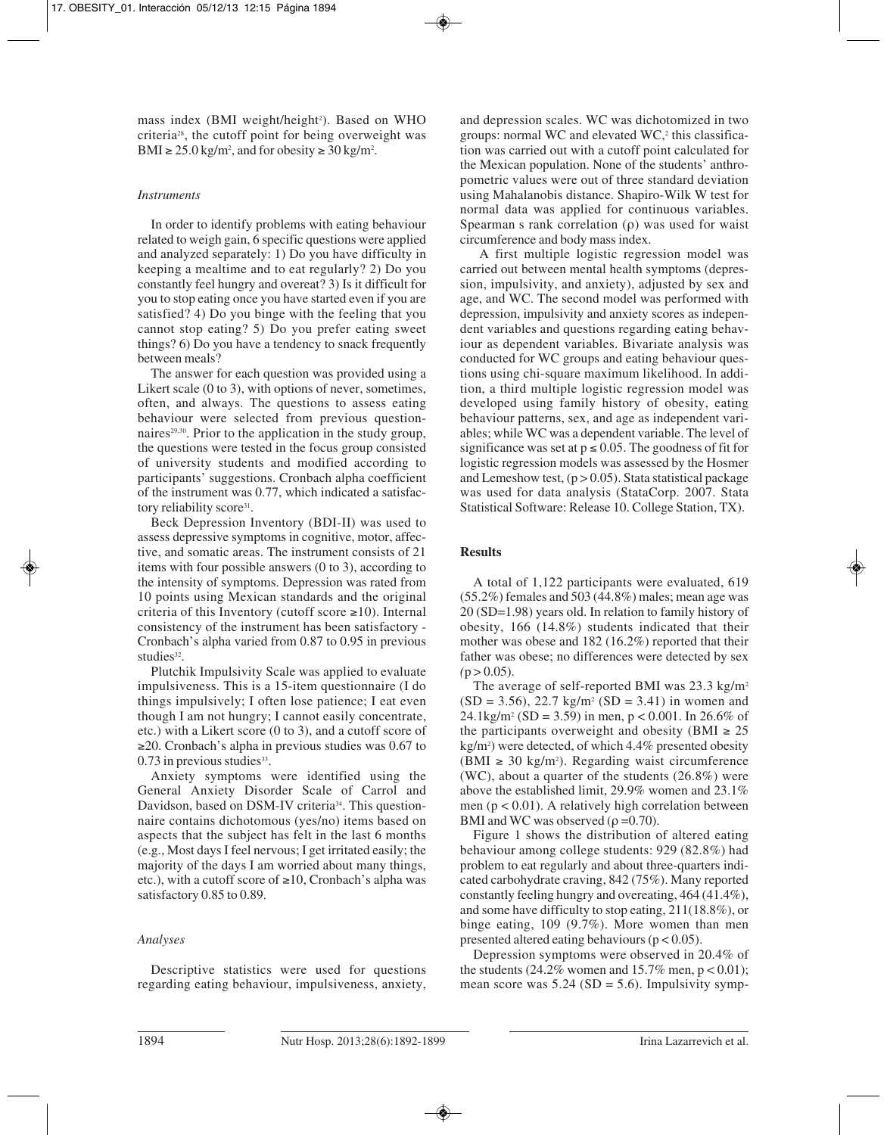mass index (BMI weight/height<sup>2</sup>). Based on WHO criteria28, the cutoff point for being overweight was BMI  $\geq$  25.0 kg/m<sup>2</sup>, and for obesity  $\geq$  30 kg/m<sup>2</sup>.

# *Instruments*

In order to identify problems with eating behaviour related to weigh gain, 6 specific questions were applied and analyzed separately: 1) Do you have difficulty in keeping a mealtime and to eat regularly? 2) Do you constantly feel hungry and overeat? 3) Is it difficult for you to stop eating once you have started even if you are satisfied? 4) Do you binge with the feeling that you cannot stop eating? 5) Do you prefer eating sweet things? 6) Do you have a tendency to snack frequently between meals?

The answer for each question was provided using a Likert scale (0 to 3), with options of never, sometimes, often, and always. The questions to assess eating behaviour were selected from previous questionnaires<sup>29,30</sup>. Prior to the application in the study group, the questions were tested in the focus group consisted of university students and modified according to participants' suggestions. Cronbach alpha coefficient of the instrument was 0.77, which indicated a satisfactory reliability score<sup>31</sup>.

Beck Depression Inventory (BDI-II) was used to assess depressive symptoms in cognitive, motor, affective, and somatic areas. The instrument consists of 21 items with four possible answers (0 to 3), according to the intensity of symptoms. Depression was rated from 10 points using Mexican standards and the original criteria of this Inventory (cutoff score  $\geq 10$ ). Internal consistency of the instrument has been satisfactory - Cronbach's alpha varied from 0.87 to 0.95 in previous studies<sup>32</sup>.

Plutchik Impulsivity Scale was applied to evaluate impulsiveness. This is a 15-item questionnaire (I do things impulsively; I often lose patience; I eat even though I am not hungry; I cannot easily concentrate, etc.) with a Likert score (0 to 3), and a cutoff score of ≥20. Cronbach's alpha in previous studies was 0.67 to  $0.73$  in previous studies<sup>33</sup>.

Anxiety symptoms were identified using the General Anxiety Disorder Scale of Carrol and Davidson, based on DSM-IV criteria<sup>34</sup>. This questionnaire contains dichotomous (yes/no) items based on aspects that the subject has felt in the last 6 months (e.g., Most days I feel nervous; I get irritated easily; the majority of the days I am worried about many things, etc.), with a cutoff score of ≥10, Cronbach's alpha was satisfactory 0.85 to 0.89.

# *Analyses*

Descriptive statistics were used for questions regarding eating behaviour, impulsiveness, anxiety,

and depression scales. WC was dichotomized in two groups: normal WC and elevated  $WC$ , this classification was carried out with a cutoff point calculated for the Mexican population. None of the students' anthropometric values were out of three standard deviation using Mahalanobis distance. Shapiro-Wilk W test for normal data was applied for continuous variables. Spearman s rank correlation (ρ) was used for waist circumference and body mass index.

A first multiple logistic regression model was carried out between mental health symptoms (depression, impulsivity, and anxiety), adjusted by sex and age, and WC. The second model was performed with depression, impulsivity and anxiety scores as independent variables and questions regarding eating behaviour as dependent variables. Bivariate analysis was conducted for WC groups and eating behaviour questions using chi-square maximum likelihood. In addition, a third multiple logistic regression model was developed using family history of obesity, eating behaviour patterns, sex, and age as independent variables; while WC was a dependent variable. The level of significance was set at  $p \le 0.05$ . The goodness of fit for logistic regression models was assessed by the Hosmer and Lemeshow test,  $(p > 0.05)$ . Stata statistical package was used for data analysis (StataCorp. 2007. Stata Statistical Software: Release 10. College Station, TX).

# **Results**

A total of 1,122 participants were evaluated, 619 (55.2%) females and 503 (44.8%) males; mean age was 20 (SD=1.98) years old. In relation to family history of obesity, 166 (14.8%) students indicated that their mother was obese and 182 (16.2%) reported that their father was obese; no differences were detected by sex  $(p > 0.05)$ .

The average of self-reported BMI was  $23.3 \text{ kg/m}^2$  $(SD = 3.56)$ , 22.7 kg/m<sup>2</sup> (SD = 3.41) in women and 24.1kg/m<sup>2</sup> (SD = 3.59) in men,  $p < 0.001$ . In 26.6% of the participants overweight and obesity (BMI  $\geq 25$ ) kg/m2 ) were detected, of which 4.4% presented obesity (BMI ≥ 30 kg/m2 ). Regarding waist circumference (WC), about a quarter of the students (26.8%) were above the established limit, 29.9% women and 23.1% men ( $p < 0.01$ ). A relatively high correlation between BMI and WC was observed ( $\rho = 0.70$ ).

Figure 1 shows the distribution of altered eating behaviour among college students: 929 (82.8%) had problem to eat regularly and about three-quarters indicated carbohydrate craving, 842 (75%). Many reported constantly feeling hungry and overeating, 464 (41.4%), and some have difficulty to stop eating, 211(18.8%), or binge eating, 109 (9.7%). More women than men presented altered eating behaviours ( $p < 0.05$ ).

Depression symptoms were observed in 20.4% of the students (24.2% women and 15.7% men,  $p < 0.01$ ); mean score was  $5.24$  (SD = 5.6). Impulsivity symp-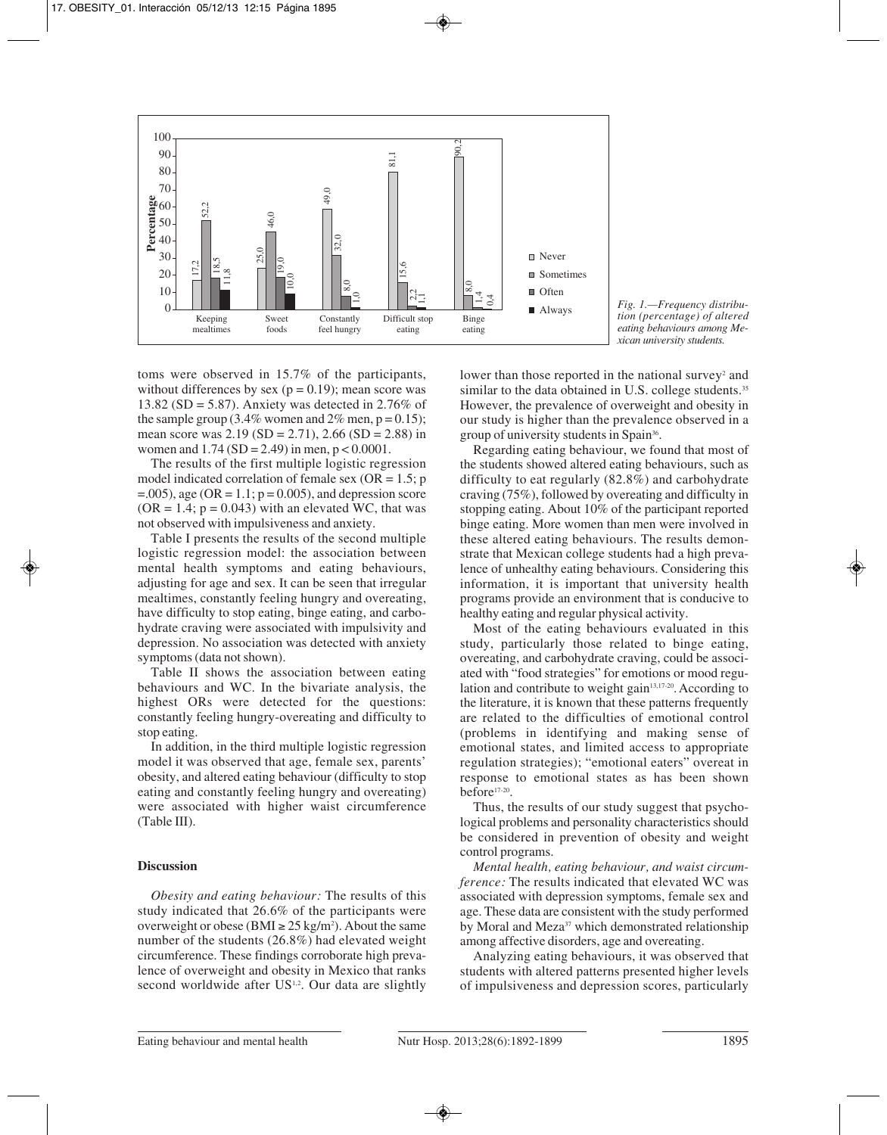

*Fig. 1.—Frequency distribution (percentage) of altered eating behaviours among Mexican university students.*

toms were observed in 15.7% of the participants, without differences by sex ( $p = 0.19$ ); mean score was 13.82 (SD = 5.87). Anxiety was detected in 2.76% of the sample group (3.4% women and  $2\%$  men, p = 0.15); mean score was  $2.19$  (SD =  $2.71$ ),  $2.66$  (SD =  $2.88$ ) in women and  $1.74$  (SD = 2.49) in men,  $p < 0.0001$ .

The results of the first multiple logistic regression model indicated correlation of female sex ( $OR = 1.5$ ; p  $=$ .005), age (OR = 1.1;  $p = 0.005$ ), and depression score  $(OR = 1.4; p = 0.043)$  with an elevated WC, that was not observed with impulsiveness and anxiety.

Table I presents the results of the second multiple logistic regression model: the association between mental health symptoms and eating behaviours, adjusting for age and sex. It can be seen that irregular mealtimes, constantly feeling hungry and overeating, have difficulty to stop eating, binge eating, and carbohydrate craving were associated with impulsivity and depression. No association was detected with anxiety symptoms (data not shown).

Table II shows the association between eating behaviours and WC. In the bivariate analysis, the highest ORs were detected for the questions: constantly feeling hungry-overeating and difficulty to stop eating.

In addition, in the third multiple logistic regression model it was observed that age, female sex, parents' obesity, and altered eating behaviour (difficulty to stop eating and constantly feeling hungry and overeating) were associated with higher waist circumference (Table III).

# **Discussion**

*Obesity and eating behaviour:* The results of this study indicated that 26.6% of the participants were overweight or obese (BMI  $\geq$  25 kg/m<sup>2</sup>). About the same number of the students (26.8%) had elevated weight circumference. These findings corroborate high prevalence of overweight and obesity in Mexico that ranks second worldwide after US<sup>1,2</sup>. Our data are slightly

lower than those reported in the national survey<sup>2</sup> and similar to the data obtained in U.S. college students.<sup>35</sup> However, the prevalence of overweight and obesity in our study is higher than the prevalence observed in a group of university students in Spain36.

Regarding eating behaviour, we found that most of the students showed altered eating behaviours, such as difficulty to eat regularly (82.8%) and carbohydrate craving (75%), followed by overeating and difficulty in stopping eating. About 10% of the participant reported binge eating. More women than men were involved in these altered eating behaviours. The results demonstrate that Mexican college students had a high prevalence of unhealthy eating behaviours. Considering this information, it is important that university health programs provide an environment that is conducive to healthy eating and regular physical activity.

Most of the eating behaviours evaluated in this study, particularly those related to binge eating, overeating, and carbohydrate craving, could be associated with "food strategies" for emotions or mood regulation and contribute to weight gain<sup>13,17-20</sup>. According to the literature, it is known that these patterns frequently are related to the difficulties of emotional control (problems in identifying and making sense of emotional states, and limited access to appropriate regulation strategies); "emotional eaters" overeat in response to emotional states as has been shown before17-20.

Thus, the results of our study suggest that psychological problems and personality characteristics should be considered in prevention of obesity and weight control programs.

*Mental health, eating behaviour, and waist circumference:* The results indicated that elevated WC was associated with depression symptoms, female sex and age. These data are consistent with the study performed by Moral and Meza<sup>37</sup> which demonstrated relationship among affective disorders, age and overeating.

Analyzing eating behaviours, it was observed that students with altered patterns presented higher levels of impulsiveness and depression scores, particularly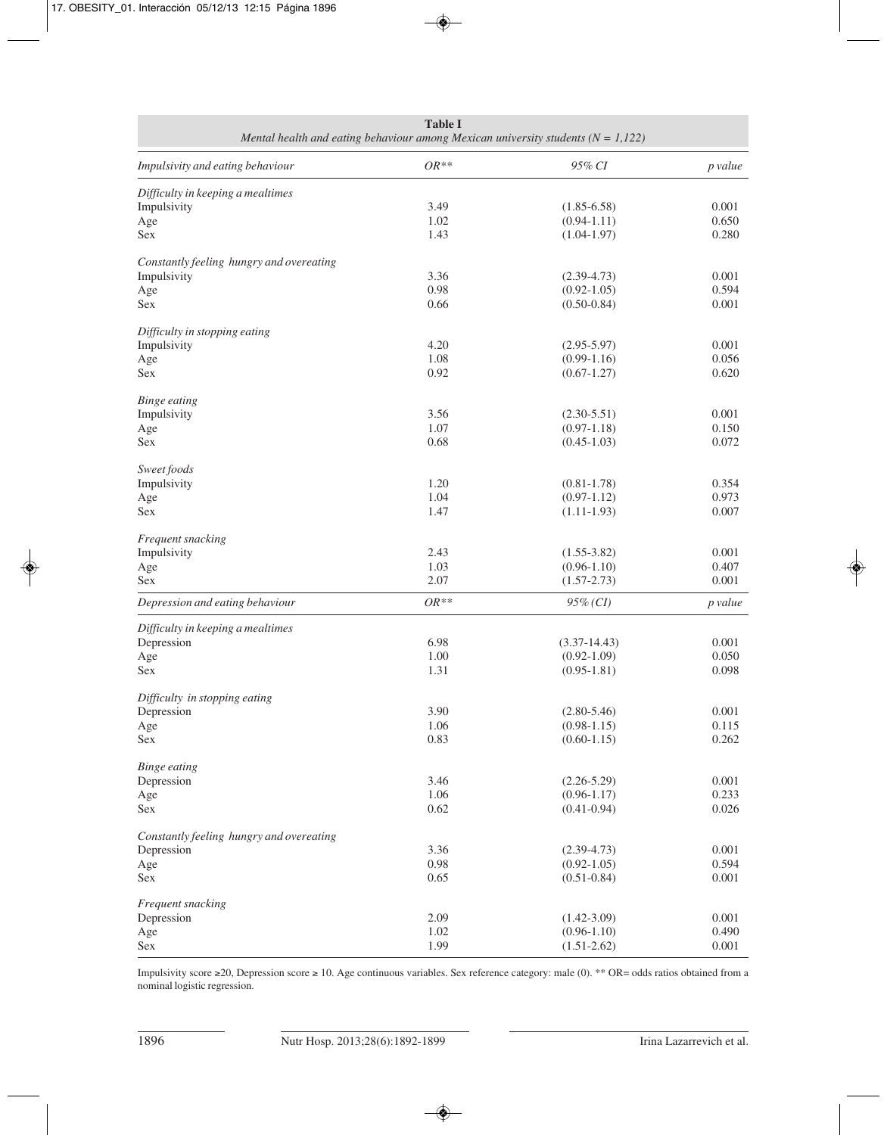| <b>Table I</b><br>Mental health and eating behaviour among Mexican university students ( $N = 1,122$ ) |              |                                    |                |  |  |  |  |  |
|--------------------------------------------------------------------------------------------------------|--------------|------------------------------------|----------------|--|--|--|--|--|
| Impulsivity and eating behaviour                                                                       | $OR**$       | 95% CI                             | p value        |  |  |  |  |  |
| Difficulty in keeping a mealtimes                                                                      |              |                                    |                |  |  |  |  |  |
| Impulsivity                                                                                            | 3.49         | $(1.85 - 6.58)$                    | 0.001          |  |  |  |  |  |
| Age                                                                                                    | 1.02         | $(0.94 - 1.11)$                    | 0.650          |  |  |  |  |  |
| <b>Sex</b>                                                                                             | 1.43         | $(1.04 - 1.97)$                    | 0.280          |  |  |  |  |  |
| Constantly feeling hungry and overeating                                                               |              |                                    |                |  |  |  |  |  |
| Impulsivity                                                                                            | 3.36         | $(2.39 - 4.73)$                    | 0.001          |  |  |  |  |  |
| Age                                                                                                    | 0.98         | $(0.92 - 1.05)$                    | 0.594          |  |  |  |  |  |
| Sex                                                                                                    | 0.66         | $(0.50 - 0.84)$                    | 0.001          |  |  |  |  |  |
| Difficulty in stopping eating                                                                          |              |                                    |                |  |  |  |  |  |
| Impulsivity                                                                                            | 4.20         | $(2.95 - 5.97)$                    | 0.001          |  |  |  |  |  |
| Age                                                                                                    | 1.08         | $(0.99-1.16)$                      | 0.056          |  |  |  |  |  |
| <b>Sex</b>                                                                                             | 0.92         | $(0.67 - 1.27)$                    | 0.620          |  |  |  |  |  |
| <b>Binge eating</b>                                                                                    |              |                                    |                |  |  |  |  |  |
| Impulsivity                                                                                            | 3.56         | $(2.30 - 5.51)$                    | 0.001          |  |  |  |  |  |
| Age                                                                                                    | 1.07         | $(0.97 - 1.18)$                    | 0.150          |  |  |  |  |  |
| <b>Sex</b>                                                                                             | 0.68         | $(0.45-1.03)$                      | 0.072          |  |  |  |  |  |
| Sweet foods                                                                                            |              |                                    |                |  |  |  |  |  |
| Impulsivity                                                                                            | 1.20         | $(0.81 - 1.78)$                    | 0.354          |  |  |  |  |  |
| Age                                                                                                    | 1.04         | $(0.97-1.12)$                      | 0.973          |  |  |  |  |  |
| Sex                                                                                                    | 1.47         | $(1.11-1.93)$                      | 0.007          |  |  |  |  |  |
| Frequent snacking                                                                                      |              |                                    |                |  |  |  |  |  |
| Impulsivity                                                                                            | 2.43         | $(1.55 - 3.82)$                    | 0.001          |  |  |  |  |  |
| Age                                                                                                    | 1.03         | $(0.96 - 1.10)$                    | 0.407          |  |  |  |  |  |
| Sex                                                                                                    | 2.07         | $(1.57 - 2.73)$                    | 0.001          |  |  |  |  |  |
| Depression and eating behaviour                                                                        | $OR**$       | $95\%$ (CI)                        | p value        |  |  |  |  |  |
| Difficulty in keeping a mealtimes                                                                      |              |                                    |                |  |  |  |  |  |
| Depression                                                                                             | 6.98         | $(3.37-14.43)$                     | 0.001          |  |  |  |  |  |
| Age                                                                                                    | 1.00         | $(0.92 - 1.09)$                    | 0.050          |  |  |  |  |  |
| Sex                                                                                                    | 1.31         | $(0.95 - 1.81)$                    | 0.098          |  |  |  |  |  |
| Difficulty in stopping eating                                                                          |              |                                    |                |  |  |  |  |  |
| Depression                                                                                             | 3.90         | $(2.80 - 5.46)$                    | 0.001          |  |  |  |  |  |
| Age                                                                                                    | 1.06         | $(0.98 - 1.15)$                    | 0.115          |  |  |  |  |  |
| Sex                                                                                                    | 0.83         | $(0.60 - 1.15)$                    | 0.262          |  |  |  |  |  |
| <b>Binge eating</b>                                                                                    |              |                                    |                |  |  |  |  |  |
| Depression                                                                                             | 3.46         | $(2.26 - 5.29)$                    | 0.001          |  |  |  |  |  |
| Age                                                                                                    | 1.06         | $(0.96 - 1.17)$                    | 0.233          |  |  |  |  |  |
| Sex                                                                                                    | 0.62         | $(0.41 - 0.94)$                    | 0.026          |  |  |  |  |  |
| Constantly feeling hungry and overeating                                                               |              |                                    | 0.001          |  |  |  |  |  |
| Depression                                                                                             | 3.36         | $(2.39 - 4.73)$                    |                |  |  |  |  |  |
| Age                                                                                                    | 0.98         | $(0.92 - 1.05)$                    | 0.594          |  |  |  |  |  |
| Sex                                                                                                    | 0.65         | $(0.51 - 0.84)$                    | 0.001          |  |  |  |  |  |
| Frequent snacking                                                                                      |              |                                    |                |  |  |  |  |  |
| Depression                                                                                             | 2.09         | $(1.42 - 3.09)$                    | 0.001          |  |  |  |  |  |
| Age<br>Sex                                                                                             | 1.02<br>1.99 | $(0.96 - 1.10)$<br>$(1.51 - 2.62)$ | 0.490<br>0.001 |  |  |  |  |  |
|                                                                                                        |              |                                    |                |  |  |  |  |  |

Impulsivity score ≥20, Depression score ≥ 10. Age continuous variables. Sex reference category: male (0). \*\* OR= odds ratios obtained from a nominal logistic regression.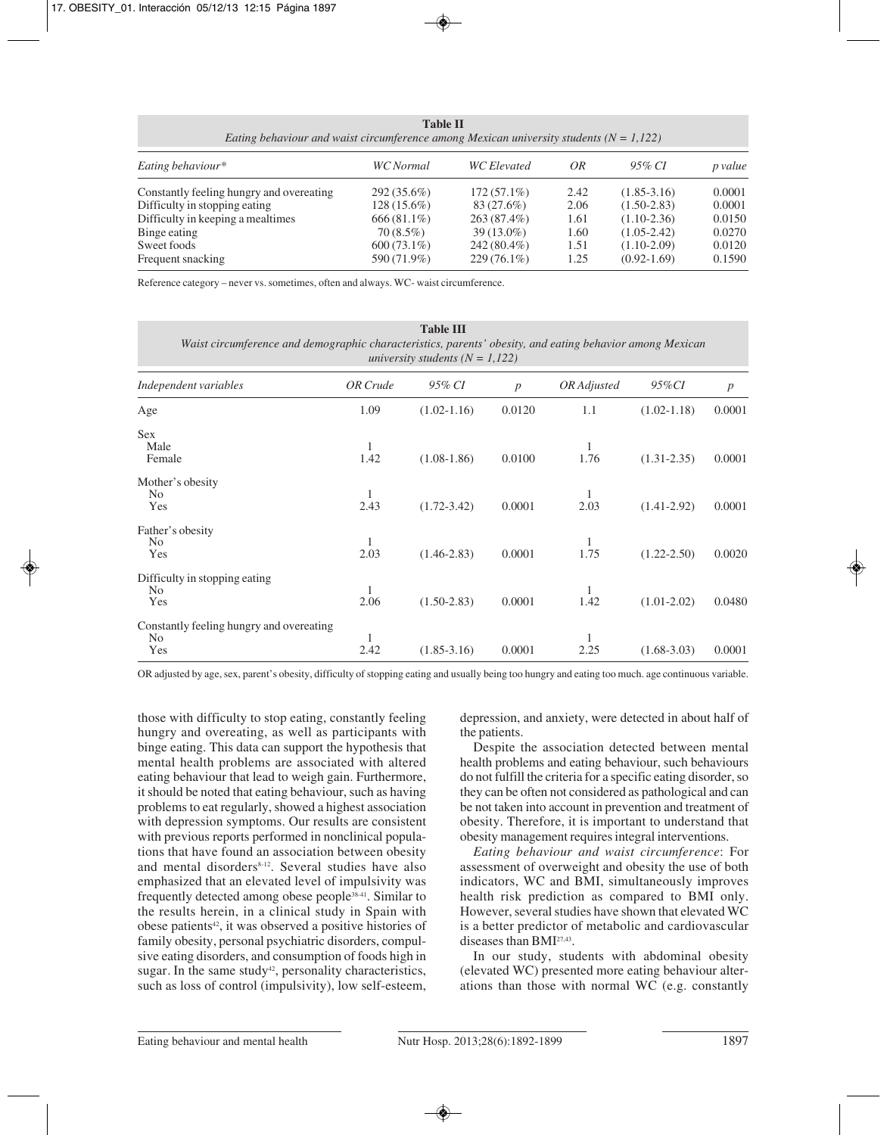**Table II** *Eating behaviour and waist circumference among Mexican university students (N = 1,122) Eating behaviour\* WC Normal WC Elevated OR 95% CI p value* Constantly feeling hungry and overeating 292 (35.6%) 172 (57.1%) 2.42 (1.85-3.16) 0.0001 Difficulty in stopping eating 128 (15.6%) 83 (27.6%) 2.06 (1.50-2.83) 0.0001 Difficulty in keeping a mealtimes 666 (81.1%) 263 (87.4%) 1.61 (1.10-2.36) 0.0150<br>Binge eating 70 (8.5%) 39 (13.0%) 1.60 (1.05-2.42) 0.0270 Binge eating  $70 (8.5\%)$   $39 (13.0\%)$   $1.60$   $(1.05-2.42)$   $0.0270$ Sweet foods 600 (73.1%) 242 (80.4%) 1.51 (1.10-2.09) 0.0120

Frequent snacking 590 (71.9%) 229 (76.1%) 1.25 (0.92-1.69) 0.1590

Reference category – never vs. sometimes, often and always. WC- waist circumference.

| <b>Table III</b><br>Waist circumference and demographic characteristics, parents' obesity, and eating behavior among Mexican<br>university students $(N = 1, 122)$ |           |                 |                  |             |                 |                  |  |  |
|--------------------------------------------------------------------------------------------------------------------------------------------------------------------|-----------|-----------------|------------------|-------------|-----------------|------------------|--|--|
| Independent variables                                                                                                                                              | OR Crude  | 95% CI          | $\boldsymbol{p}$ | OR Adjusted | 95%CI           | $\boldsymbol{p}$ |  |  |
| Age                                                                                                                                                                | 1.09      | $(1.02 - 1.16)$ | 0.0120           | 1.1         | $(1.02 - 1.18)$ | 0.0001           |  |  |
| <b>Sex</b><br>Male<br>Female                                                                                                                                       | 1<br>1.42 | $(1.08-1.86)$   | 0.0100           | 1.76        | $(1.31 - 2.35)$ | 0.0001           |  |  |
| Mother's obesity<br>N <sub>0</sub><br>Yes                                                                                                                          | 1<br>2.43 | $(1.72 - 3.42)$ | 0.0001           | 1<br>2.03   | $(1.41 - 2.92)$ | 0.0001           |  |  |
| Father's obesity<br>N <sub>0</sub><br>Yes                                                                                                                          | 1<br>2.03 | $(1.46 - 2.83)$ | 0.0001           | 1<br>1.75   | $(1.22 - 2.50)$ | 0.0020           |  |  |
| Difficulty in stopping eating<br>No<br>Yes                                                                                                                         | 2.06      | $(1.50 - 2.83)$ | 0.0001           | 1.42        | $(1.01 - 2.02)$ | 0.0480           |  |  |
| Constantly feeling hungry and overeating<br>N <sub>0</sub><br>Yes                                                                                                  | 1<br>2.42 | $(1.85 - 3.16)$ | 0.0001           | 1<br>2.25   | $(1.68 - 3.03)$ | 0.0001           |  |  |

OR adjusted by age, sex, parent's obesity, difficulty of stopping eating and usually being too hungry and eating too much. age continuous variable.

those with difficulty to stop eating, constantly feeling hungry and overeating, as well as participants with binge eating. This data can support the hypothesis that mental health problems are associated with altered eating behaviour that lead to weigh gain. Furthermore, it should be noted that eating behaviour, such as having problems to eat regularly, showed a highest association with depression symptoms. Our results are consistent with previous reports performed in nonclinical populations that have found an association between obesity and mental disorders<sup>8-12</sup>. Several studies have also emphasized that an elevated level of impulsivity was frequently detected among obese people38-41. Similar to the results herein, in a clinical study in Spain with obese patients<sup>42</sup>, it was observed a positive histories of family obesity, personal psychiatric disorders, compulsive eating disorders, and consumption of foods high in sugar. In the same study<sup>42</sup>, personality characteristics, such as loss of control (impulsivity), low self-esteem,

depression, and anxiety, were detected in about half of the patients.

Despite the association detected between mental health problems and eating behaviour, such behaviours do not fulfill the criteria for a specific eating disorder, so they can be often not considered as pathological and can be not taken into account in prevention and treatment of obesity. Therefore, it is important to understand that obesity management requires integral interventions.

*Eating behaviour and waist circumference*: For assessment of overweight and obesity the use of both indicators, WC and BMI, simultaneously improves health risk prediction as compared to BMI only. However, several studies have shown that elevated WC is a better predictor of metabolic and cardiovascular diseases than BMI27,43.

In our study, students with abdominal obesity (elevated WC) presented more eating behaviour alterations than those with normal WC (e.g. constantly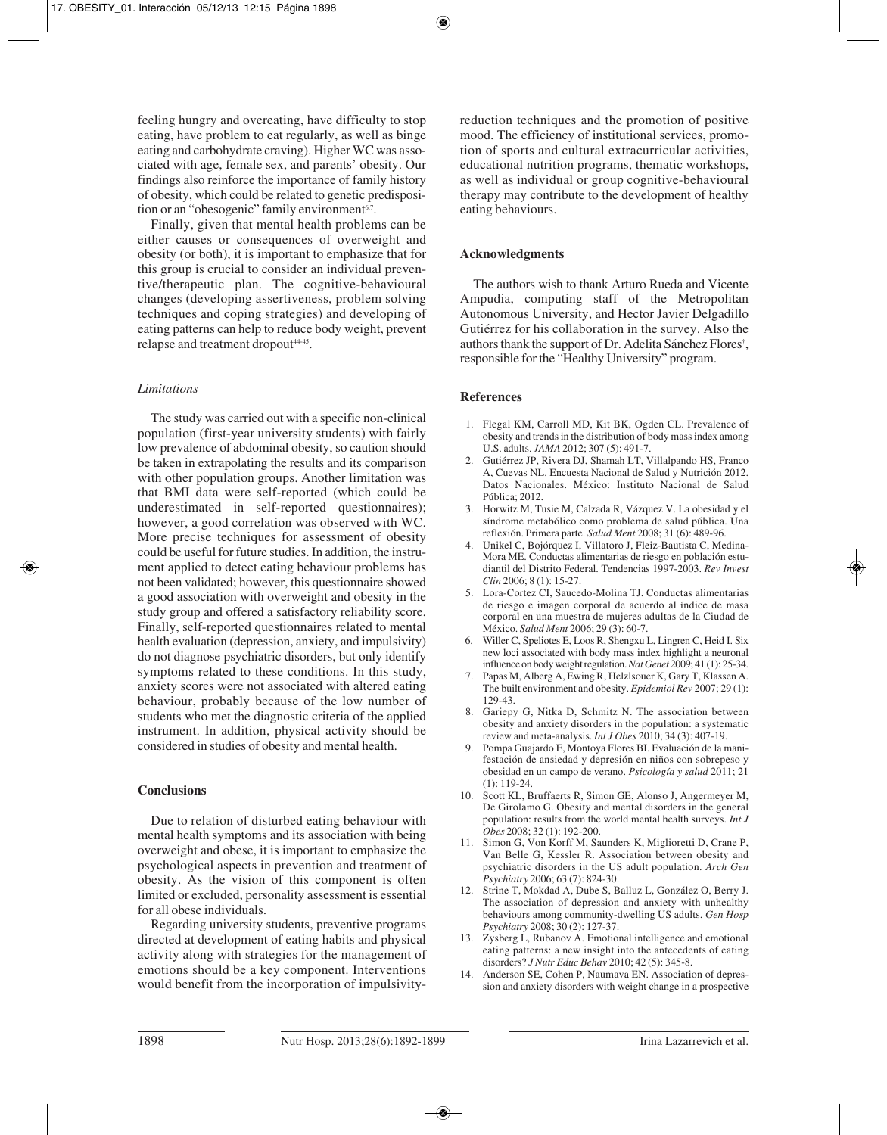feeling hungry and overeating, have difficulty to stop eating, have problem to eat regularly, as well as binge eating and carbohydrate craving). Higher WC was associated with age, female sex, and parents' obesity. Our findings also reinforce the importance of family history of obesity, which could be related to genetic predisposition or an "obesogenic" family environment<sup>6,7</sup>.

Finally, given that mental health problems can be either causes or consequences of overweight and obesity (or both), it is important to emphasize that for this group is crucial to consider an individual preventive/therapeutic plan. The cognitive-behavioural changes (developing assertiveness, problem solving techniques and coping strategies) and developing of eating patterns can help to reduce body weight, prevent relapse and treatment dropout<sup>44-45</sup>.

# *Limitations*

The study was carried out with a specific non-clinical population (first-year university students) with fairly low prevalence of abdominal obesity, so caution should be taken in extrapolating the results and its comparison with other population groups. Another limitation was that BMI data were self-reported (which could be underestimated in self-reported questionnaires); however, a good correlation was observed with WC. More precise techniques for assessment of obesity could be useful for future studies. In addition, the instrument applied to detect eating behaviour problems has not been validated; however, this questionnaire showed a good association with overweight and obesity in the study group and offered a satisfactory reliability score. Finally, self-reported questionnaires related to mental health evaluation (depression, anxiety, and impulsivity) do not diagnose psychiatric disorders, but only identify symptoms related to these conditions. In this study, anxiety scores were not associated with altered eating behaviour, probably because of the low number of students who met the diagnostic criteria of the applied instrument. In addition, physical activity should be considered in studies of obesity and mental health.

# **Conclusions**

Due to relation of disturbed eating behaviour with mental health symptoms and its association with being overweight and obese, it is important to emphasize the psychological aspects in prevention and treatment of obesity. As the vision of this component is often limited or excluded, personality assessment is essential for all obese individuals.

Regarding university students, preventive programs directed at development of eating habits and physical activity along with strategies for the management of emotions should be a key component. Interventions would benefit from the incorporation of impulsivityreduction techniques and the promotion of positive mood. The efficiency of institutional services, promotion of sports and cultural extracurricular activities, educational nutrition programs, thematic workshops, as well as individual or group cognitive-behavioural therapy may contribute to the development of healthy eating behaviours.

# **Acknowledgments**

The authors wish to thank Arturo Rueda and Vicente Ampudia, computing staff of the Metropolitan Autonomous University, and Hector Javier Delgadillo Gutiérrez for his collaboration in the survey. Also the authors thank the support of Dr. Adelita Sánchez Flores† , responsible for the "Healthy University" program.

# **References**

- 1. Flegal KM, Carroll MD, Kit BK, Ogden CL. Prevalence of obesity and trends in the distribution of body mass index among U.S. adults. *JAMA* 2012; 307 (5): 491-7.
- 2. Gutiérrez JP, Rivera DJ, Shamah LT, Villalpando HS, Franco A, Cuevas NL. Encuesta Nacional de Salud y Nutrición 2012. Datos Nacionales. México: Instituto Nacional de Salud Pública; 2012.
- 3. Horwitz M, Tusie M, Calzada R, Vázquez V. La obesidad y el síndrome metabólico como problema de salud pública. Una reflexión. Primera parte. *Salud Ment* 2008; 31 (6): 489-96.
- 4. Unikel C, Bojórquez I, Villatoro J, Fleiz-Bautista C, Medina-Mora ME. Conductas alimentarias de riesgo en población estudiantil del Distrito Federal. Tendencias 1997-2003. *Rev Invest Clin* 2006; 8 (1): 15-27.
- 5. Lora-Cortez CI, Saucedo-Molina TJ. Conductas alimentarias de riesgo e imagen corporal de acuerdo al índice de masa corporal en una muestra de mujeres adultas de la Ciudad de México. *Salud Ment* 2006; 29 (3): 60-7.
- 6. Willer C, Speliotes E, Loos R, Shengxu L, Lingren C, Heid I. Six new loci associated with body mass index highlight a neuronal influence on body weight regulation. *Nat Genet* 2009; 41 (1): 25-34.
- 7. Papas M, Alberg A, Ewing R, Helzlsouer K, Gary T, Klassen A. The built environment and obesity. *Epidemiol Rev* 2007; 29 (1): 129-43.
- 8. Gariepy G, Nitka D, Schmitz N. The association between obesity and anxiety disorders in the population: a systematic review and meta-analysis. *Int J Obes* 2010; 34 (3): 407-19.
- 9. Pompa Guajardo E, Montoya Flores BI. Evaluación de la manifestación de ansiedad y depresión en niños con sobrepeso y obesidad en un campo de verano. *Psicología y salud* 2011; 21 (1): 119-24.
- 10. Scott KL, Bruffaerts R, Simon GE, Alonso J, Angermeyer M, De Girolamo G. Obesity and mental disorders in the general population: results from the world mental health surveys. *Int J Obes* 2008; 32 (1): 192-200.
- 11. Simon G, Von Korff M, Saunders K, Miglioretti D, Crane P, Van Belle G, Kessler R. Association between obesity and psychiatric disorders in the US adult population. *Arch Gen Psychiatry* 2006; 63 (7): 824-30.
- 12. Strine T, Mokdad A, Dube S, Balluz L, González O, Berry J. The association of depression and anxiety with unhealthy behaviours among community-dwelling US adults. *Gen Hosp Psychiatry* 2008; 30 (2): 127-37.
- 13. Zysberg L, Rubanov A. Emotional intelligence and emotional eating patterns: a new insight into the antecedents of eating disorders? *J Nutr Educ Behav* 2010; 42 (5): 345-8.
- 14. Anderson SE, Cohen P, Naumava EN. Association of depression and anxiety disorders with weight change in a prospective